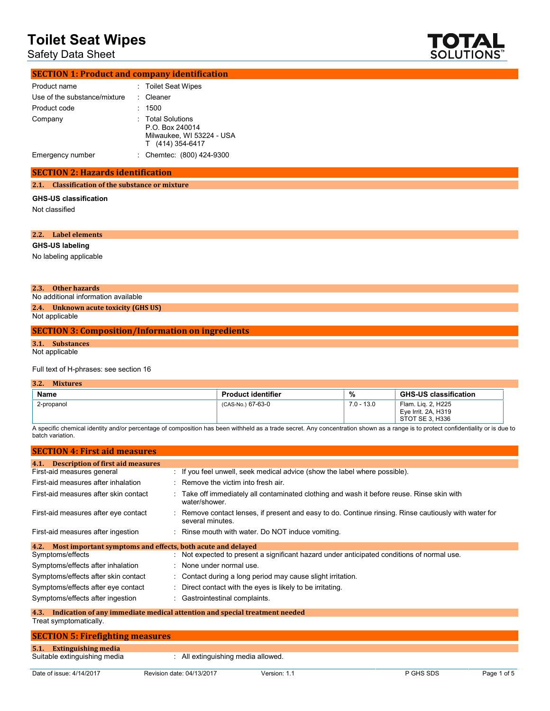# Safety Data Sheet



| <b>SECTION 1: Product and company identification</b> |                                                                                       |
|------------------------------------------------------|---------------------------------------------------------------------------------------|
| Product name                                         | : Toilet Seat Wipes                                                                   |
| Use of the substance/mixture                         | : Cleaner                                                                             |
| Product code                                         | 1500                                                                                  |
| Company                                              | : Total Solutions<br>P.O. Box 240014<br>Milwaukee, WI 53224 - USA<br>T (414) 354-6417 |
| Emergency number                                     | : Chemtec: (800) 424-9300                                                             |

# **SECTION 2: Hazards identification**

### **2.1. Classification of the substance or mixture**

#### **GHS-US classification**

Not classified

# **2.2. Label elements GHS-US labeling** No labeling applicable

### **2.3. Other hazards**

No additional information available

#### **2.4. Unknown acute toxicity (GHS US)** Not applicable

### **SECTION 3: Composition/Information on ingredients**

**3.1. Substances** Not applicable

### Full text of H-phrases: see section 16

| 3.2.<br><b>Mixtures</b> |                           |              |                                                              |
|-------------------------|---------------------------|--------------|--------------------------------------------------------------|
| <b>Name</b>             | <b>Product identifier</b> | %            | <b>GHS-US classification</b>                                 |
| 2-propanol              | (CAS-No.) 67-63-0         | $7.0 - 13.0$ | Flam. Lig. 2, H225<br>Eye Irrit. 2A, H319<br>STOT SE 3, H336 |

A specific chemical identity and/or percentage of composition has been withheld as a trade secret. Any concentration shown as a range is to protect confidentiality or is due to batch variation.

| <b>SECTION 4: First aid measures</b>                                |                                                                                                                           |  |  |  |  |
|---------------------------------------------------------------------|---------------------------------------------------------------------------------------------------------------------------|--|--|--|--|
| <b>Description of first aid measures</b><br>4.1.                    |                                                                                                                           |  |  |  |  |
| First-aid measures general                                          | : If you feel unwell, seek medical advice (show the label where possible).                                                |  |  |  |  |
| First-aid measures after inhalation                                 | $\therefore$ Remove the victim into fresh air.                                                                            |  |  |  |  |
| First-aid measures after skin contact                               | : Take off immediately all contaminated clothing and wash it before reuse. Rinse skin with<br>water/shower.               |  |  |  |  |
| First-aid measures after eye contact                                | : Remove contact lenses, if present and easy to do. Continue rinsing. Rinse cautiously with water for<br>several minutes. |  |  |  |  |
| First-aid measures after ingestion                                  | : Rinse mouth with water. Do NOT induce vomiting.                                                                         |  |  |  |  |
| Most important symptoms and effects, both acute and delayed<br>4.2. |                                                                                                                           |  |  |  |  |
| Symptoms/effects                                                    | : Not expected to present a significant hazard under anticipated conditions of normal use.                                |  |  |  |  |
| Symptoms/effects after inhalation                                   | : None under normal use.                                                                                                  |  |  |  |  |
| Symptoms/effects after skin contact                                 | : Contact during a long period may cause slight irritation.                                                               |  |  |  |  |
| Symptoms/effects after eye contact                                  | : Direct contact with the eyes is likely to be irritating.                                                                |  |  |  |  |
| Symptoms/effects after ingestion                                    | : Gastrointestinal complaints.                                                                                            |  |  |  |  |

#### **4.3. Indication of any immediate medical attention and special treatment needed** Treat symptomatically.

# **SECTION 5: Firefighting measures 5.1. Extinguishing media** : All extinguishing media allowed.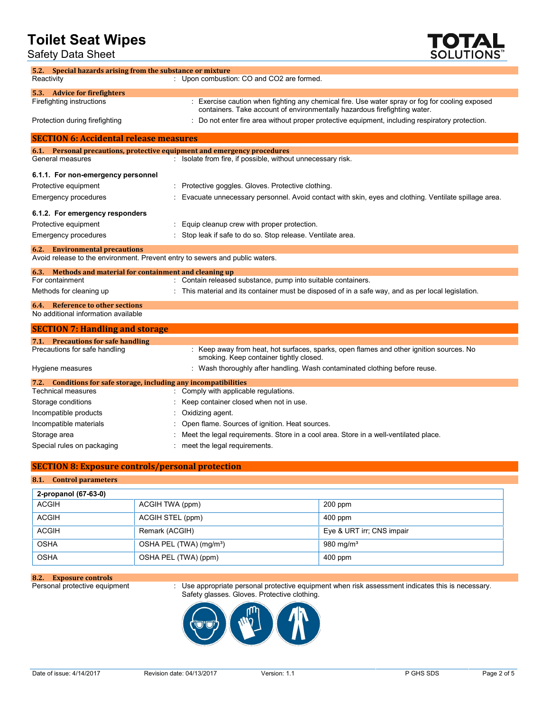Safety Data Sheet



| 5.2. Special hazards arising from the substance or mixture                     |                                                                                                                                                                             |  |  |
|--------------------------------------------------------------------------------|-----------------------------------------------------------------------------------------------------------------------------------------------------------------------------|--|--|
| Reactivity                                                                     | : Upon combustion: CO and CO2 are formed.                                                                                                                                   |  |  |
| 5.3. Advice for firefighters                                                   |                                                                                                                                                                             |  |  |
| Firefighting instructions                                                      | : Exercise caution when fighting any chemical fire. Use water spray or fog for cooling exposed<br>containers. Take account of environmentally hazardous firefighting water. |  |  |
| Protection during firefighting                                                 | : Do not enter fire area without proper protective equipment, including respiratory protection.                                                                             |  |  |
| <b>SECTION 6: Accidental release measures</b>                                  |                                                                                                                                                                             |  |  |
|                                                                                | 6.1. Personal precautions, protective equipment and emergency procedures                                                                                                    |  |  |
| General measures                                                               | : Isolate from fire, if possible, without unnecessary risk.                                                                                                                 |  |  |
| 6.1.1. For non-emergency personnel                                             |                                                                                                                                                                             |  |  |
| Protective equipment                                                           | Protective goggles. Gloves. Protective clothing.                                                                                                                            |  |  |
| Emergency procedures                                                           | Evacuate unnecessary personnel. Avoid contact with skin, eyes and clothing. Ventilate spillage area.                                                                        |  |  |
| 6.1.2. For emergency responders                                                |                                                                                                                                                                             |  |  |
| Protective equipment                                                           | Equip cleanup crew with proper protection.                                                                                                                                  |  |  |
| Emergency procedures                                                           | Stop leak if safe to do so. Stop release. Ventilate area.                                                                                                                   |  |  |
| <b>6.2.</b> Environmental precautions                                          |                                                                                                                                                                             |  |  |
| Avoid release to the environment. Prevent entry to sewers and public waters.   |                                                                                                                                                                             |  |  |
| 6.3. Methods and material for containment and cleaning up                      |                                                                                                                                                                             |  |  |
| For containment                                                                | : Contain released substance, pump into suitable containers.                                                                                                                |  |  |
| Methods for cleaning up                                                        | This material and its container must be disposed of in a safe way, and as per local legislation.                                                                            |  |  |
| <b>6.4.</b> Reference to other sections<br>No additional information available |                                                                                                                                                                             |  |  |
|                                                                                |                                                                                                                                                                             |  |  |
| <b>SECTION 7: Handling and storage</b>                                         |                                                                                                                                                                             |  |  |
| 7.1. Precautions for safe handling                                             |                                                                                                                                                                             |  |  |
| Precautions for safe handling                                                  | : Keep away from heat, hot surfaces, sparks, open flames and other ignition sources. No<br>smoking. Keep container tightly closed.                                          |  |  |
| Hygiene measures                                                               | : Wash thoroughly after handling. Wash contaminated clothing before reuse.                                                                                                  |  |  |
| 7.2. Conditions for safe storage, including any incompatibilities              |                                                                                                                                                                             |  |  |
| <b>Technical measures</b>                                                      | Comply with applicable regulations.                                                                                                                                         |  |  |
| Storage conditions                                                             | Keep container closed when not in use.                                                                                                                                      |  |  |
| Incompatible products                                                          | Oxidizing agent.                                                                                                                                                            |  |  |
| Incompatible materials                                                         | Open flame. Sources of ignition. Heat sources.                                                                                                                              |  |  |
| Storage area                                                                   | Meet the legal requirements. Store in a cool area. Store in a well-ventilated place.                                                                                        |  |  |
| Special rules on packaging                                                     | meet the legal requirements.                                                                                                                                                |  |  |

# **SECTION 8: Exposure controls/personal protection**

# **8.1. Control parameters**

| 2-propanol (67-63-0) |                                     |                           |
|----------------------|-------------------------------------|---------------------------|
| <b>ACGIH</b>         | ACGIH TWA (ppm)                     | $200$ ppm                 |
| <b>ACGIH</b>         | ACGIH STEL (ppm)                    | $400$ ppm                 |
| <b>ACGIH</b>         | Remark (ACGIH)                      | Eye & URT irr; CNS impair |
| <b>OSHA</b>          | OSHA PEL (TWA) (mg/m <sup>3</sup> ) | 980 mg/m $3$              |
| <b>OSHA</b>          | OSHA PEL (TWA) (ppm)                | $400$ ppm                 |

**8.2. Exposure controls**

Personal protective equipment  $\;\;$  Use appropriate personal protective equipment when risk assessment indicates this is necessary. Safety glasses. Gloves. Protective clothing.

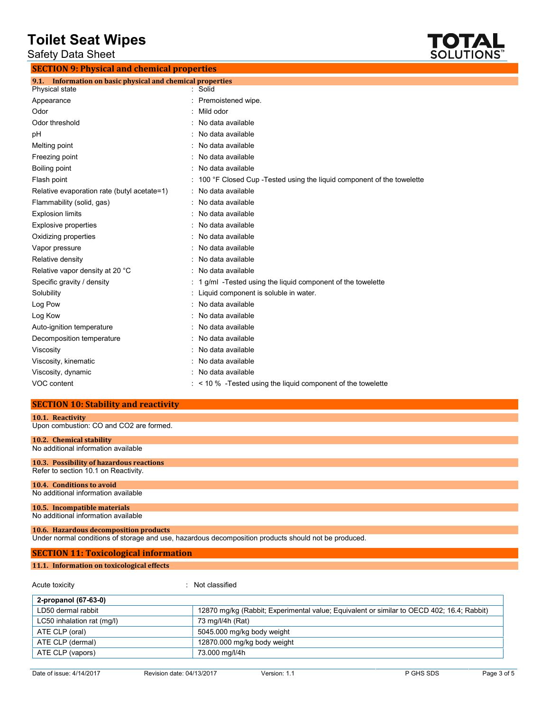Safety Data Sheet



| <b>SECTION 9: Physical and chemical properties</b>            |  |                                                                       |  |  |
|---------------------------------------------------------------|--|-----------------------------------------------------------------------|--|--|
| Information on basic physical and chemical properties<br>9.1. |  |                                                                       |  |  |
| Physical state                                                |  | : Solid                                                               |  |  |
| Appearance                                                    |  | Premoistened wipe.                                                    |  |  |
| Odor                                                          |  | Mild odor                                                             |  |  |
| Odor threshold                                                |  | No data available                                                     |  |  |
| pH                                                            |  | No data available                                                     |  |  |
| Melting point                                                 |  | No data available                                                     |  |  |
| Freezing point                                                |  | No data available                                                     |  |  |
| Boiling point                                                 |  | No data available                                                     |  |  |
| Flash point                                                   |  | 100 °F Closed Cup -Tested using the liquid component of the towelette |  |  |
| Relative evaporation rate (butyl acetate=1)                   |  | No data available                                                     |  |  |
| Flammability (solid, gas)                                     |  | No data available                                                     |  |  |
| <b>Explosion limits</b>                                       |  | No data available                                                     |  |  |
| <b>Explosive properties</b>                                   |  | No data available                                                     |  |  |
| Oxidizing properties                                          |  | No data available                                                     |  |  |
| Vapor pressure                                                |  | No data available                                                     |  |  |
| Relative density                                              |  | No data available                                                     |  |  |
| Relative vapor density at 20 °C                               |  | No data available                                                     |  |  |
| Specific gravity / density                                    |  | 1 g/ml -Tested using the liquid component of the towelette            |  |  |
| Solubility                                                    |  | Liquid component is soluble in water.                                 |  |  |
| Log Pow                                                       |  | No data available                                                     |  |  |
| Log Kow                                                       |  | No data available                                                     |  |  |
| Auto-ignition temperature                                     |  | No data available                                                     |  |  |
| Decomposition temperature                                     |  | No data available                                                     |  |  |
| Viscosity                                                     |  | No data available                                                     |  |  |
| Viscosity, kinematic                                          |  | No data available                                                     |  |  |
| Viscosity, dynamic                                            |  | : No data available                                                   |  |  |
| VOC content                                                   |  | $\leq$ 10 % -Tested using the liquid component of the towelette       |  |  |

# **SECTION 10: Stability and reactivity**

| 10.1. Reactivity                                                                                     |                |  |  |  |
|------------------------------------------------------------------------------------------------------|----------------|--|--|--|
| Upon combustion: CO and CO2 are formed.                                                              |                |  |  |  |
|                                                                                                      |                |  |  |  |
| 10.2. Chemical stability                                                                             |                |  |  |  |
| No additional information available                                                                  |                |  |  |  |
| 10.3. Possibility of hazardous reactions                                                             |                |  |  |  |
| Refer to section 10.1 on Reactivity.                                                                 |                |  |  |  |
|                                                                                                      |                |  |  |  |
| 10.4. Conditions to avoid                                                                            |                |  |  |  |
| No additional information available                                                                  |                |  |  |  |
|                                                                                                      |                |  |  |  |
| 10.5. Incompatible materials                                                                         |                |  |  |  |
| No additional information available                                                                  |                |  |  |  |
|                                                                                                      |                |  |  |  |
| 10.6. Hazardous decomposition products                                                               |                |  |  |  |
| Under normal conditions of storage and use, hazardous decomposition products should not be produced. |                |  |  |  |
|                                                                                                      |                |  |  |  |
| <b>SECTION 11: Toxicological information</b>                                                         |                |  |  |  |
| 11.1. Information on toxicological effects                                                           |                |  |  |  |
|                                                                                                      |                |  |  |  |
| Acute toxicity                                                                                       | Not classified |  |  |  |

| .                          |                                                                                           |
|----------------------------|-------------------------------------------------------------------------------------------|
| 2-propanol (67-63-0)       |                                                                                           |
| LD50 dermal rabbit         | 12870 mg/kg (Rabbit; Experimental value; Equivalent or similar to OECD 402; 16.4; Rabbit) |
| LC50 inhalation rat (mg/l) | 73 mg/l/4h (Rat)                                                                          |
| ATE CLP (oral)             | 5045.000 mg/kg body weight                                                                |
| ATE CLP (dermal)           | 12870.000 mg/kg body weight                                                               |
| ATE CLP (vapors)           | 73.000 mg/l/4h                                                                            |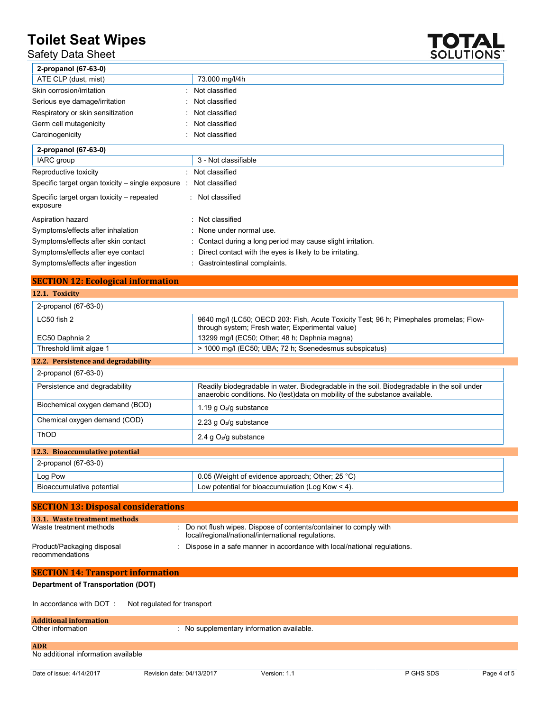# Safety Data Sheet



| 2-propanol (67-63-0)                                  |                                                             |
|-------------------------------------------------------|-------------------------------------------------------------|
| ATE CLP (dust, mist)                                  | 73.000 mg/l/4h                                              |
| Skin corrosion/irritation                             | : Not classified                                            |
| Serious eye damage/irritation                         | : Not classified                                            |
| Respiratory or skin sensitization                     | : Not classified                                            |
| Germ cell mutagenicity                                | : Not classified                                            |
| Carcinogenicity                                       | : Not classified                                            |
| 2-propanol (67-63-0)                                  |                                                             |
| IARC group                                            | 3 - Not classifiable                                        |
| Reproductive toxicity                                 | : Not classified                                            |
| Specific target organ toxicity $-$ single exposure :  | Not classified                                              |
| Specific target organ toxicity – repeated<br>exposure | : Not classified                                            |
| Aspiration hazard                                     | : Not classified                                            |
| Symptoms/effects after inhalation                     | : None under normal use.                                    |
| Symptoms/effects after skin contact                   | : Contact during a long period may cause slight irritation. |
| Symptoms/effects after eye contact                    | : Direct contact with the eyes is likely to be irritating.  |
| Symptoms/effects after ingestion                      | : Gastrointestinal complaints.                              |

# **SECTION 12: Ecological information**

# **12.1. Toxicity**

| 2-propanol (67-63-0)                |                                                                                                                                                                            |
|-------------------------------------|----------------------------------------------------------------------------------------------------------------------------------------------------------------------------|
| $LC50$ fish $2$                     | 9640 mg/l (LC50; OECD 203: Fish, Acute Toxicity Test; 96 h; Pimephales promelas; Flow-<br>through system; Fresh water; Experimental value)                                 |
| EC50 Daphnia 2                      | 13299 mg/l (EC50; Other; 48 h; Daphnia magna)                                                                                                                              |
| Threshold limit algae 1             | > 1000 mg/l (EC50; UBA; 72 h; Scenedesmus subspicatus)                                                                                                                     |
| 12.2. Persistence and degradability |                                                                                                                                                                            |
| 2-propanol (67-63-0)                |                                                                                                                                                                            |
| Persistence and degradability       | Readily biodegradable in water. Biodegradable in the soil. Biodegradable in the soil under<br>anaerobic conditions. No (test) data on mobility of the substance available. |
| Biochemical oxygen demand (BOD)     | 1.19 g $O_2$ /g substance                                                                                                                                                  |
| Chemical oxygen demand (COD)        | 2.23 g $O_2$ /g substance                                                                                                                                                  |
| <b>ThOD</b>                         | 2.4 g $O_2$ /g substance                                                                                                                                                   |
| 12.3. Bioaccumulative potential     |                                                                                                                                                                            |
| 2-propanol (67-63-0)                |                                                                                                                                                                            |
| Log Pow                             | 0.05 (Weight of evidence approach; Other; 25 °C)                                                                                                                           |
| Bioaccumulative potential           | Low potential for bioaccumulation (Log Kow $<$ 4).                                                                                                                         |

| <b>SECTION 13: Disposal considerations</b>    |                                                                                                                          |  |  |
|-----------------------------------------------|--------------------------------------------------------------------------------------------------------------------------|--|--|
| 13.1. Waste treatment methods                 |                                                                                                                          |  |  |
| Waste treatment methods                       | : Do not flush wipes. Dispose of contents/container to comply with<br>local/regional/national/international regulations. |  |  |
| Product/Packaging disposal<br>recommendations | Dispose in a safe manner in accordance with local/national regulations.                                                  |  |  |
| <b>SECTION 14: Transport information</b>      |                                                                                                                          |  |  |

# **Department of Transportation (DOT)**

In accordance with DOT : Not regulated for transport

# **Additional information**

| Other information |  |
|-------------------|--|
|                   |  |

 $:$  No supplementary information available.

### **ADR**

No additional information available